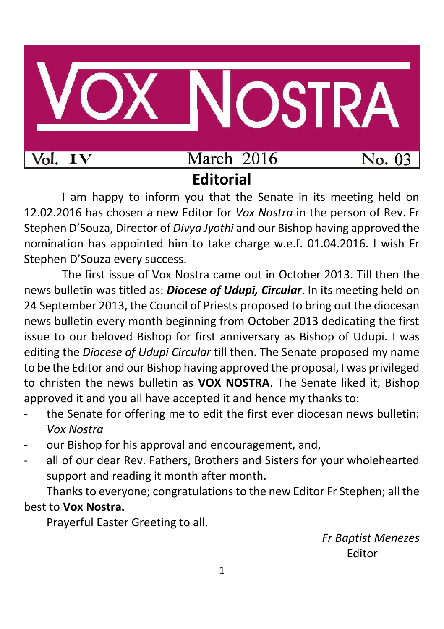

I am happy to inform you that the Senate in its meeting held on 12.02.2016 has chosen a new Editor for *Vox Nostra* in the person of Rev. Fr Stephen D'Souza, Director of *Divya Jyothi* and our Bishop having approved the nomination has appointed him to take charge w.e.f. 01.04.2016. I wish Fr Stephen D'Souza every success.

The first issue of Vox Nostra came out in October 2013. Till then the news bulletin was titled as: *Diocese of Udupi, Circular*. In its meeting held on 24 September 2013, the Council of Priests proposed to bring out the diocesan news bulletin every month beginning from October 2013 dedicating the first issue to our beloved Bishop for first anniversary as Bishop of Udupi. I was editing the *Diocese of Udupi Circular* till then. The Senate proposed my name to be the Editor and our Bishop having approved the proposal, I was privileged to christen the news bulletin as **VOX NOSTRA**. The Senate liked it, Bishop approved it and you all have accepted it and hence my thanks to:

- the Senate for offering me to edit the first ever diocesan news bulletin: *Vox Nostra*
- our Bishop for his approval and encouragement, and,
- all of our dear Rev. Fathers, Brothers and Sisters for your wholehearted support and reading it month after month.

Thanks to everyone; congratulations to the new Editor Fr Stephen; all the best to **Vox Nostra.**

Prayerful Easter Greeting to all.

*Fr Baptist Menezes* Editor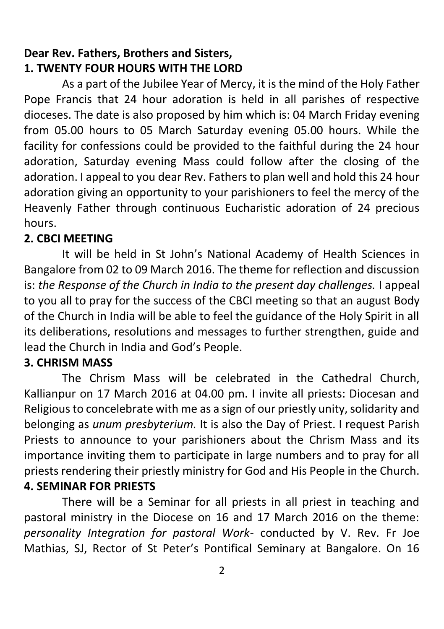# **Dear Rev. Fathers, Brothers and Sisters, 1. TWENTY FOUR HOURS WITH THE LORD**

As a part of the Jubilee Year of Mercy, it is the mind of the Holy Father Pope Francis that 24 hour adoration is held in all parishes of respective dioceses. The date is also proposed by him which is: 04 March Friday evening from 05.00 hours to 05 March Saturday evening 05.00 hours. While the facility for confessions could be provided to the faithful during the 24 hour adoration, Saturday evening Mass could follow after the closing of the adoration. I appeal to you dear Rev. Fathers to plan well and hold this 24 hour adoration giving an opportunity to your parishioners to feel the mercy of the Heavenly Father through continuous Eucharistic adoration of 24 precious hours.

#### **2. CBCI MEETING**

It will be held in St John's National Academy of Health Sciences in Bangalore from 02 to 09 March 2016. The theme for reflection and discussion is: *the Response of the Church in India to the present day challenges.* I appeal to you all to pray for the success of the CBCI meeting so that an august Body of the Church in India will be able to feel the guidance of the Holy Spirit in all its deliberations, resolutions and messages to further strengthen, guide and lead the Church in India and God's People.

#### **3. CHRISM MASS**

The Chrism Mass will be celebrated in the Cathedral Church, Kallianpur on 17 March 2016 at 04.00 pm. I invite all priests: Diocesan and Religious to concelebrate with me as a sign of our priestly unity, solidarity and belonging as *unum presbyterium.* It is also the Day of Priest. I request Parish Priests to announce to your parishioners about the Chrism Mass and its importance inviting them to participate in large numbers and to pray for all priests rendering their priestly ministry for God and His People in the Church. **4. SEMINAR FOR PRIESTS**

There will be a Seminar for all priests in all priest in teaching and pastoral ministry in the Diocese on 16 and 17 March 2016 on the theme: *personality Integration for pastoral Work-* conducted by V. Rev. Fr Joe Mathias, SJ, Rector of St Peter's Pontifical Seminary at Bangalore. On 16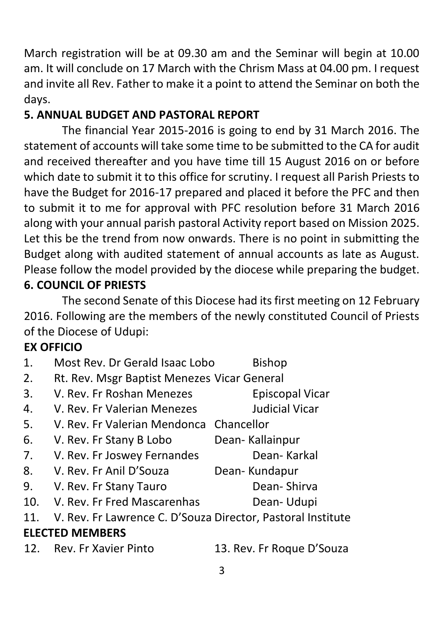March registration will be at 09.30 am and the Seminar will begin at 10.00 am. It will conclude on 17 March with the Chrism Mass at 04.00 pm. I request and invite all Rev. Father to make it a point to attend the Seminar on both the days.

# **5. ANNUAL BUDGET AND PASTORAL REPORT**

The financial Year 2015-2016 is going to end by 31 March 2016. The statement of accounts will take some time to be submitted to the CA for audit and received thereafter and you have time till 15 August 2016 on or before which date to submit it to this office for scrutiny. I request all Parish Priests to have the Budget for 2016-17 prepared and placed it before the PFC and then to submit it to me for approval with PFC resolution before 31 March 2016 along with your annual parish pastoral Activity report based on Mission 2025. Let this be the trend from now onwards. There is no point in submitting the Budget along with audited statement of annual accounts as late as August. Please follow the model provided by the diocese while preparing the budget. **6. COUNCIL OF PRIESTS**

The second Senate of this Diocese had its first meeting on 12 February 2016. Following are the members of the newly constituted Council of Priests of the Diocese of Udupi:

# **EX OFFICIO**

| 1.                     | Most Rev. Dr Gerald Isaac Lobo                              | <b>Bishop</b>             |
|------------------------|-------------------------------------------------------------|---------------------------|
| 2.                     | Rt. Rev. Msgr Baptist Menezes Vicar General                 |                           |
| 3.                     | V. Rev. Fr Roshan Menezes                                   | <b>Episcopal Vicar</b>    |
| 4.                     | V. Rev. Er Valerian Menezes                                 | Judicial Vicar            |
| 5.                     | V. Rev. Fr Valerian Mendonca Chancellor                     |                           |
| 6.                     | V. Rev. Fr Stany B Lobo                                     | Dean-Kallainpur           |
| 7.                     | V. Rev. Fr Joswey Fernandes                                 | Dean-Karkal               |
| 8.                     | V. Rev. Fr Anil D'Souza                                     | Dean-Kundapur             |
| 9.                     | V. Rev. Fr Stany Tauro                                      | Dean-Shirva               |
| 10.                    | V. Rev. Fr Fred Mascarenhas                                 | Dean-Udupi                |
| 11.                    | V. Rev. Fr Lawrence C. D'Souza Director, Pastoral Institute |                           |
| <b>ELECTED MEMBERS</b> |                                                             |                           |
|                        | 12. Rev. Fr Xavier Pinto                                    | 13. Rev. Fr Roque D'Souza |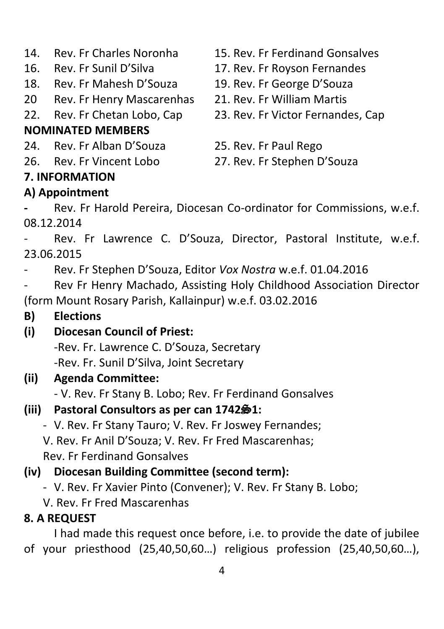- 
- 
- 18. Rev. Fr Mahesh D'Souza 19. Rev. Fr George D'Souza
- 20 Rev. Fr Henry Mascarenhas 21. Rev. Fr William Martis
- 

# **NOMINATED MEMBERS**

- 24. Rev. Fr Alban D'Souza 25. Rev. Fr Paul Rego
- 

#### **7. INFORMATION**

#### **A) Appointment**

- 14. Rev. Fr Charles Noronha 15. Rev. Fr Ferdinand Gonsalves
- 16. Rev. Fr Sunil D'Silva 17. Rev. Fr Royson Fernandes
	-
	-
- 22. Rev. Fr Chetan Lobo, Cap 23. Rev. Fr Victor Fernandes, Cap
	-
- 26. Rev. Fr Vincent Lobo 27. Rev. Fr Stephen D'Souza

**-** Rev. Fr Harold Pereira, Diocesan Co-ordinator for Commissions, w.e.f. 08.12.2014

Rev. Fr Lawrence C. D'Souza, Director, Pastoral Institute, w.e.f. 23.06.2015

- Rev. Fr Stephen D'Souza, Editor *Vox Nostra* w.e.f. 01.04.2016

Rev Fr Henry Machado, Assisting Holy Childhood Association Director (form Mount Rosary Parish, Kallainpur) w.e.f. 03.02.2016

- **B) Elections**
- **(i) Diocesan Council of Priest:** -Rev. Fr. Lawrence C. D'Souza, Secretary -Rev. Fr. Sunil D'Silva, Joint Secretary
- **(ii) Agenda Committee:**
	- V. Rev. Fr Stany B. Lobo; Rev. Fr Ferdinand Gonsalves

# **(iii)** Pastoral Consultors as per can 1742 $\frac{6}{5}$ 1:

- V. Rev. Fr Stany Tauro; V. Rev. Fr Joswey Fernandes; V. Rev. Fr Anil D'Souza; V. Rev. Fr Fred Mascarenhas; Rev. Fr Ferdinand Gonsalves

# **(iv) Diocesan Building Committee (second term):**

- V. Rev. Fr Xavier Pinto (Convener); V. Rev. Fr Stany B. Lobo;
- V. Rev. Fr Fred Mascarenhas

# **8. A REQUEST**

I had made this request once before, i.e. to provide the date of jubilee of your priesthood (25,40,50,60…) religious profession (25,40,50,60…),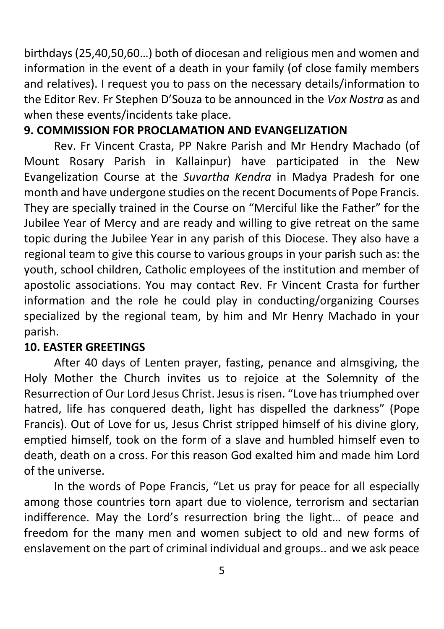birthdays (25,40,50,60…) both of diocesan and religious men and women and information in the event of a death in your family (of close family members and relatives). I request you to pass on the necessary details/information to the Editor Rev. Fr Stephen D'Souza to be announced in the *Vox Nostra* as and when these events/incidents take place.

#### **9. COMMISSION FOR PROCLAMATION AND EVANGELIZATION**

Rev. Fr Vincent Crasta, PP Nakre Parish and Mr Hendry Machado (of Mount Rosary Parish in Kallainpur) have participated in the New Evangelization Course at the *Suvartha Kendra* in Madya Pradesh for one month and have undergone studies on the recent Documents of Pope Francis. They are specially trained in the Course on "Merciful like the Father" for the Jubilee Year of Mercy and are ready and willing to give retreat on the same topic during the Jubilee Year in any parish of this Diocese. They also have a regional team to give this course to various groups in your parish such as: the youth, school children, Catholic employees of the institution and member of apostolic associations. You may contact Rev. Fr Vincent Crasta for further information and the role he could play in conducting/organizing Courses specialized by the regional team, by him and Mr Henry Machado in your parish.

#### **10. EASTER GREETINGS**

After 40 days of Lenten prayer, fasting, penance and almsgiving, the Holy Mother the Church invites us to rejoice at the Solemnity of the Resurrection of Our Lord Jesus Christ. Jesus is risen. "Love has triumphed over hatred, life has conquered death, light has dispelled the darkness" (Pope Francis). Out of Love for us, Jesus Christ stripped himself of his divine glory, emptied himself, took on the form of a slave and humbled himself even to death, death on a cross. For this reason God exalted him and made him Lord of the universe.

In the words of Pope Francis, "Let us pray for peace for all especially among those countries torn apart due to violence, terrorism and sectarian indifference. May the Lord's resurrection bring the light… of peace and freedom for the many men and women subject to old and new forms of enslavement on the part of criminal individual and groups.. and we ask peace